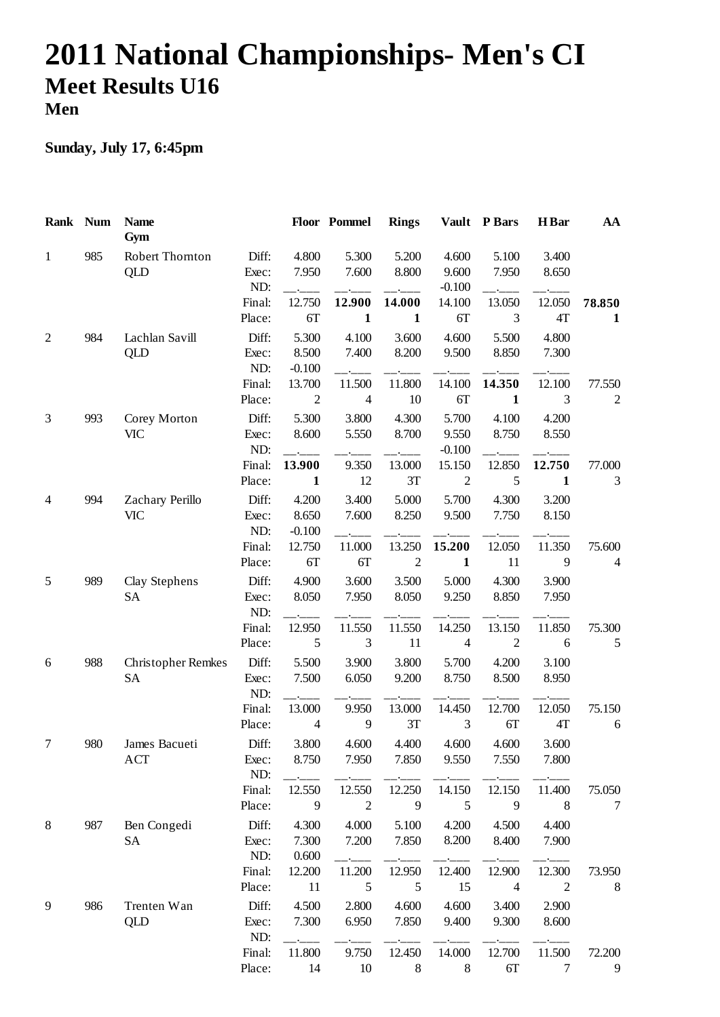## **2011 National Championships- Men's CI Meet Results U16 Men**

## **Sunday, July 17, 6:45pm**

| Rank           | <b>Num</b> | <b>Name</b><br>Gym                     |                       |                            | Floor Pommel             | <b>Rings</b>             | <b>Vault</b>               | P Bars                   | H Bar                    | AA                       |
|----------------|------------|----------------------------------------|-----------------------|----------------------------|--------------------------|--------------------------|----------------------------|--------------------------|--------------------------|--------------------------|
| $\mathbf{1}$   | 985        | Robert Thornton<br>QLD                 | Diff:<br>Exec:<br>ND: | 4.800<br>7.950             | 5.300<br>7.600           | 5.200<br>8.800           | 4.600<br>9.600<br>$-0.100$ | 5.100<br>7.950           | 3.400<br>8.650           |                          |
|                |            |                                        | Final:<br>Place:      | 12.750<br>6T               | 12.900<br>$\mathbf{1}$   | 14.000<br>$\mathbf{1}$   | 14.100<br>6T               | 13.050<br>3              | 12.050<br>4T             | 78.850<br>1              |
| $\overline{2}$ | 984        | Lachlan Savill<br>QLD                  | Diff:<br>Exec:<br>ND: | 5.300<br>8.500<br>$-0.100$ | 4.100<br>7.400           | 3.600<br>8.200           | 4.600<br>9.500             | 5.500<br>8.850           | 4.800<br>7.300           |                          |
|                |            |                                        | Final:<br>Place:      | 13.700<br>$\overline{2}$   | 11.500<br>$\overline{4}$ | 11.800<br>10             | 14.100<br>6T               | 14.350<br>$\mathbf{1}$   | 12.100<br>3              | 77.550<br>$\mathbf{2}$   |
| 3              | 993        | Corey Morton<br>VIC                    | Diff:<br>Exec:<br>ND: | 5.300<br>8.600             | 3.800<br>5.550           | 4.300<br>8.700           | 5.700<br>9.550<br>$-0.100$ | 4.100<br>8.750           | 4.200<br>8.550           |                          |
|                |            |                                        | Final:<br>Place:      | 13.900<br>$\mathbf{1}$     | 9.350<br>12              | 13.000<br>3T             | 15.150<br>$\overline{2}$   | 12.850<br>5              | 12.750<br>1              | 77.000<br>$\mathfrak{Z}$ |
| 4              | 994        | Zachary Perillo<br><b>VIC</b>          | Diff:<br>Exec:<br>ND: | 4.200<br>8.650<br>$-0.100$ | 3.400<br>7.600           | 5.000<br>8.250           | 5.700<br>9.500             | 4.300<br>7.750           | 3.200<br>8.150           |                          |
|                |            |                                        | Final:<br>Place:      | 12.750<br>6T               | 11.000<br>6T             | 13.250<br>$\mathfrak{2}$ | 15.200<br>$\mathbf{1}$     | 12.050<br>11             | 11.350<br>9              | 75.600<br>4              |
| 5              | 989        | Clay Stephens<br>SA                    | Diff:<br>Exec:<br>ND: | 4.900<br>8.050             | 3.600<br>7.950           | 3.500<br>8.050           | 5.000<br>9.250             | 4.300<br>8.850           | 3.900<br>7.950           |                          |
|                |            |                                        | Final:<br>Place:      | 12.950<br>5                | 11.550<br>$\mathfrak{Z}$ | 11.550<br>11             | 14.250<br>$\overline{4}$   | 13.150<br>$\overline{2}$ | 11.850<br>6              | 75.300<br>5              |
| 6              | 988        | <b>Christopher Remkes</b><br><b>SA</b> | Diff:<br>Exec:<br>ND: | 5.500<br>7.500             | 3.900<br>6.050           | 3.800<br>9.200           | 5.700<br>8.750             | 4.200<br>8.500           | 3.100<br>8.950           |                          |
|                |            |                                        | Final:<br>Place:      | 13.000<br>$\overline{4}$   | 9.950<br>9               | 13.000<br>3T             | 14.450<br>3                | 12.700<br>6T             | 12.050<br>4T             | 75.150<br>$\sqrt{6}$     |
| 7              | 980        | James Bacueti<br>ACT                   | Diff:<br>Exec:<br>ND: | 3.800<br>8.750             | 4.600<br>7.950           | 4.400<br>7.850           | 4.600<br>9.550             | 4.600<br>7.550           | 3.600<br>7.800           |                          |
|                |            |                                        | Final:<br>Place:      | 12.550<br>9                | 12.550<br>$\mathfrak{2}$ | 12.250<br>9              | 14.150<br>5                | 12.150<br>9              | 11.400<br>8              | 75.050<br>7              |
| $8\,$          | 987        | Ben Congedi<br>SA                      | Diff:<br>Exec:<br>ND: | 4.300<br>7.300<br>0.600    | 4.000<br>7.200           | 5.100<br>7.850           | 4.200<br>8.200             | 4.500<br>8.400           | 4.400<br>7.900           |                          |
|                |            |                                        | Final:<br>Place:      | 12.200<br>11               | 11.200<br>5              | 12.950<br>5              | 12.400<br>15               | 12.900<br>4              | 12.300<br>$\mathfrak{2}$ | 73.950<br>8              |
| 9              | 986        | Trenten Wan<br>QLD                     | Diff:<br>Exec:<br>ND: | 4.500<br>7.300             | 2.800<br>6.950           | 4.600<br>7.850           | 4.600<br>9.400             | 3.400<br>9.300           | 2.900<br>8.600           |                          |
|                |            |                                        | Final:<br>Place:      | 11.800<br>14               | 9.750<br>10              | 12.450<br>$8\phantom{1}$ | 14.000<br>8                | 12.700<br>6T             | 11.500<br>7              | 72.200<br>$\overline{9}$ |